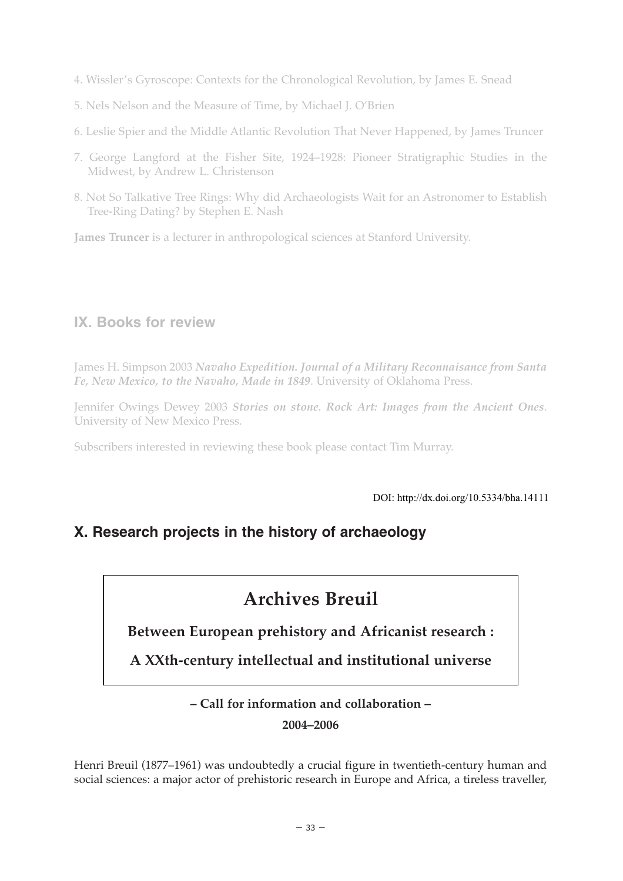- 4. Wissler's Gyroscope: Contexts for the Chronological Revolution, by James E. Snead
- 5. Nels Nelson and the Measure of Time, by Michael J. O'Brien
- 6. Leslie Spier and the Middle Atlantic Revolution That Never Happened, by James Truncer
- 7. George Langford at the Fisher Site, 1924–1928: Pioneer Stratigraphic Studies in the Midwest, by Andrew L. Christenson
- 8. Not So Talkative Tree Rings: Why did Archaeologists Wait for an Astronomer to Establish Tree-Ring Dating? by Stephen E. Nash

**James Truncer** is a lecturer in anthropological sciences at Stanford University.

### **IX. Books for review**

James H. Simpson 2003 *Navaho Expedition. Journal of a Military Reconnaisance from Santa Fe, New Mexico, to the Navaho, Made in 1849*. University of Oklahoma Press.

Jennifer Owings Dewey 2003 *Stories on stone. Rock Art: Images from the Ancient Ones*. University of New Mexico Press.

Subscribers interested in reviewing these book please contact Tim Murray.

DOI: http://dx.doi.org/10.5334/bha.14111

## **X. Research projects in the history of archaeology**

# **Archives Breuil**

**Between European prehistory and Africanist research :**

**A XXth-century intellectual and institutional universe**

## **– Call for information and collaboration –**

#### **2004–2006**

Henri Breuil (1877–1961) was undoubtedly a crucial figure in twentieth-century human and social sciences: a major actor of prehistoric research in Europe and Africa, a tireless traveller,